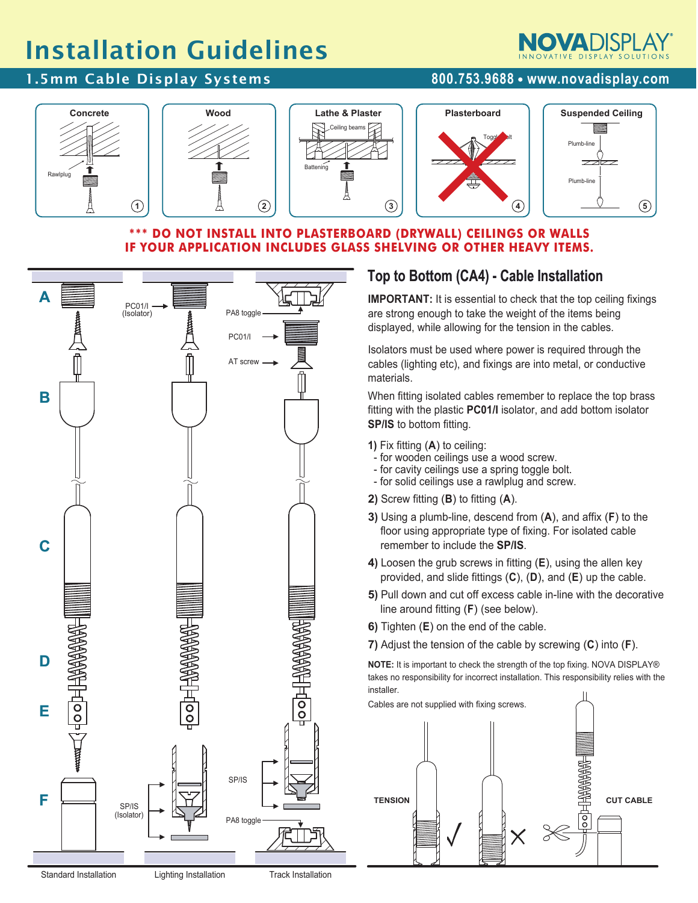# Installation Guidelines

### 1.5mm Cable Display Systems **800.753.9688 www.novadisplay.com**

Rawlplug



#### **\*\*\* DO NOT INSTALL INTO PLASTERBOARD (DRYWALL) CEILINGS OR WALLS IF YOUR APPLICATION INCLUDES GLASS SHELVING OR OTHER HEAVY ITEMS.**



## **Top to Bottom (CA4) - Cable Installation**

**IMPORTANT:** It is essential to check that the top ceiling fixings are strong enough to take the weight of the items being displayed, while allowing for the tension in the cables.

Isolators must be used where power is required through the cables (lighting etc), and fixings are into metal, or conductive materials.

When fitting isolated cables remember to replace the top brass fitting with the plastic **PC01/I** isolator, and add bottom isolator **SP/IS** to bottom fitting.

- **1)** Fix fitting (**A**) to ceiling:
- for wooden ceilings use a wood screw.
- for cavity ceilings use a spring toggle bolt.
- for solid ceilings use a rawlplug and screw.
- **2)** Screw fitting (**B**) to fitting (**A**).
- **3)** Using a plumb-line, descend from (**A**), and affix (**F**) to the floor using appropriate type of fixing. For isolated cable remember to include the **SP/IS**.
- **4)** Loosen the grub screws in fitting (**E**), using the allen key provided, and slide fittings (**C**), (**D**), and (**E**) up the cable.
- **5)** Pull down and cut off excess cable in-line with the decorative line around fitting (**F**) (see below).
- **6)** Tighten (**E**) on the end of the cable.
- **7)** Adjust the tension of the cable by screwing (**C**) into (**F**).

**NOTE:** It is important to check the strength of the top fixing. NOVA DISPLAY® takes no responsibility for incorrect installation. This responsibility relies with the installer.





Standard Installation Lighting Installation Track Installation